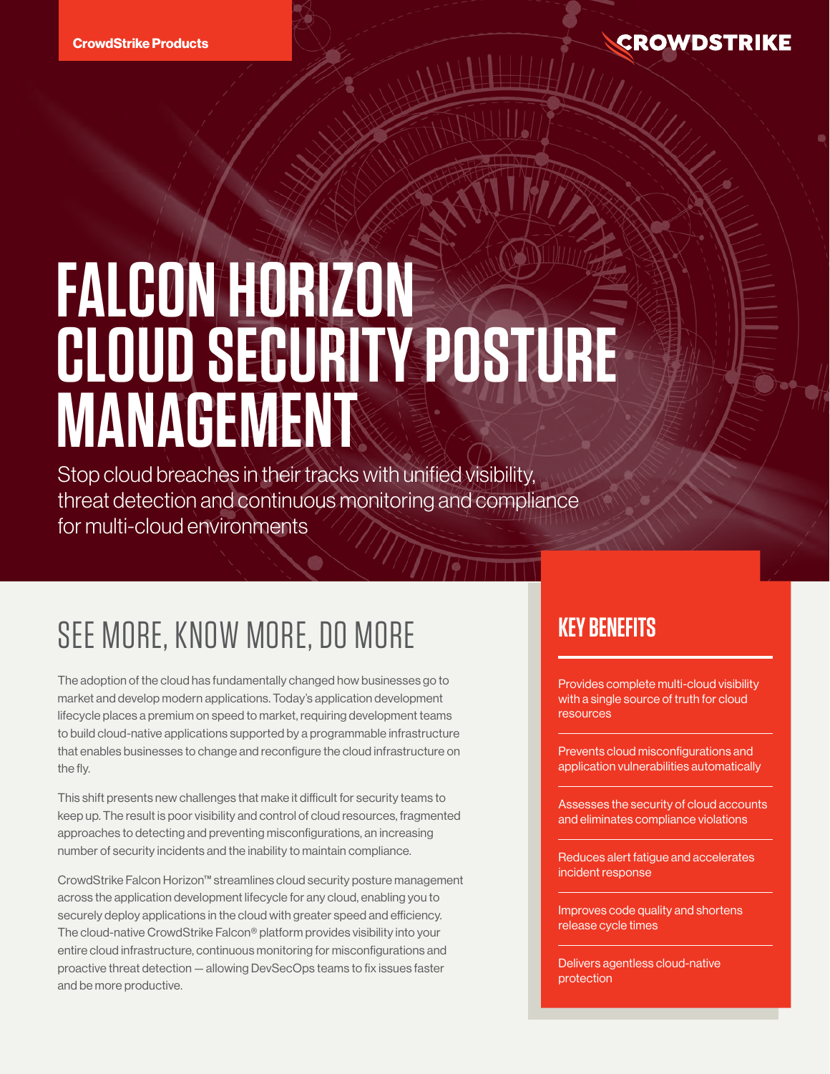# **FALCON HORIZON CLOUD SECURITY POSTURE MANAGEMENT**

Stop cloud breaches in their tracks with unified visibility, threat detection and continuous monitoring and compliance for multi-cloud environments

# SEE MORE, KNOW MORE, DO MORE

The adoption of the cloud has fundamentally changed how businesses go to market and develop modern applications. Today's application development lifecycle places a premium on speed to market, requiring development teams to build cloud-native applications supported by a programmable infrastructure that enables businesses to change and reconfigure the cloud infrastructure on the fly.

This shift presents new challenges that make it difficult for security teams to keep up. The result is poor visibility and control of cloud resources, fragmented approaches to detecting and preventing misconfigurations, an increasing number of security incidents and the inability to maintain compliance.

CrowdStrike Falcon Horizon™ streamlines cloud security posture management across the application development lifecycle for any cloud, enabling you to securely deploy applications in the cloud with greater speed and efficiency. The cloud-native CrowdStrike Falcon® platform provides visibility into your entire cloud infrastructure, continuous monitoring for misconfigurations and proactive threat detection — allowing DevSecOps teams to fix issues faster and be more productive.

# **KEY BENEFITS**

Provides complete multi-cloud visibility with a single source of truth for cloud resources

Prevents cloud misconfigurations and application vulnerabilities automatically

Assesses the security of cloud accounts and eliminates compliance violations

Reduces alert fatigue and accelerates incident response

Improves code quality and shortens release cycle times

Delivers agentless cloud-native protection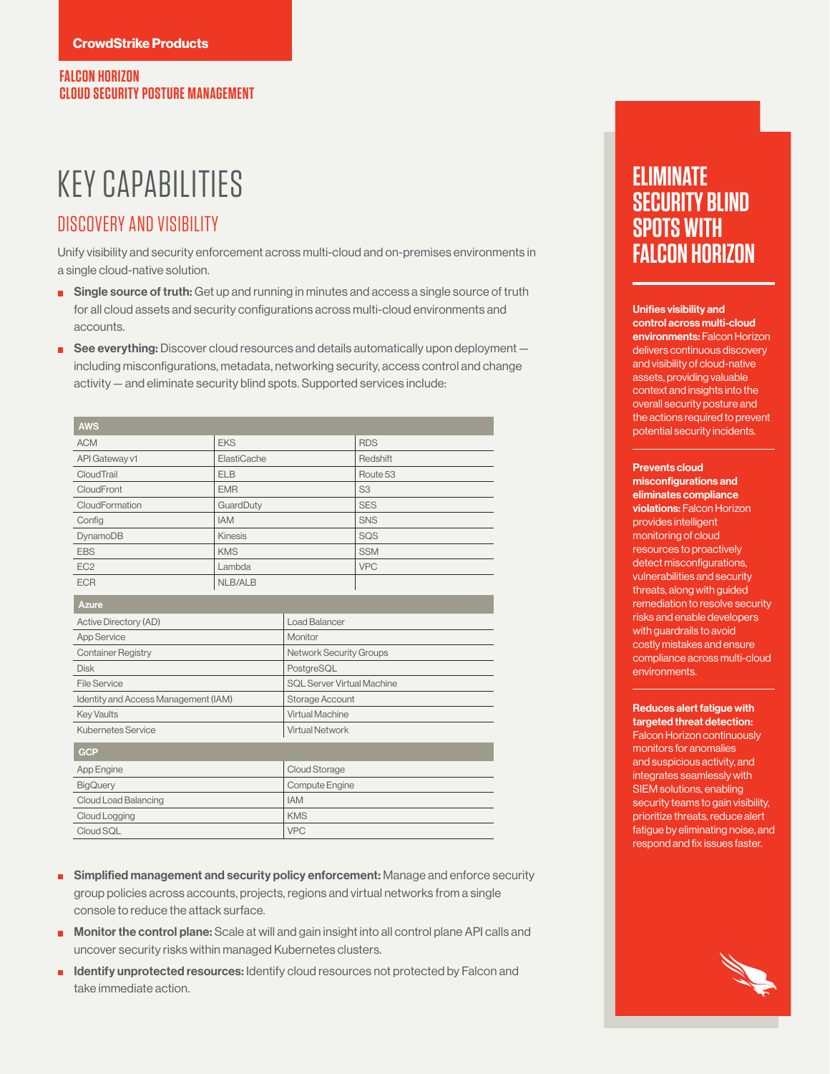# KEY CAPABILITIES

### DISCOVERY AND VISIBILITY

Unify visibility and security enforcement across multi-cloud and on-premises environments in a single cloud-native solution.

- **Single source of truth:** Get up and running in minutes and access a single source of truth for all cloud assets and security configurations across multi-cloud environments and accounts.
- $\Box$  See everything: Discover cloud resources and details automatically upon deployment  $$ including misconfigurations, metadata, networking security, access control and change activity — and eliminate security blind spots. Supported services include:

| <b>AWS</b>      |                |                |
|-----------------|----------------|----------------|
| <b>ACM</b>      | <b>EKS</b>     | <b>RDS</b>     |
| API Gateway v1  | ElastiCache    | Redshift       |
| CloudTrail      | <b>ELB</b>     | Route 53       |
| CloudFront      | <b>EMR</b>     | S <sub>3</sub> |
| CloudFormation  | GuardDuty      | <b>SES</b>     |
| Config          | <b>IAM</b>     | <b>SNS</b>     |
| DynamoDB        | <b>Kinesis</b> | SQS            |
| <b>EBS</b>      | <b>KMS</b>     | <b>SSM</b>     |
| EC <sub>2</sub> | Lambda         | <b>VPC</b>     |
| <b>ECR</b>      | NLB/ALB        |                |

| <b>Azure</b>                         |                                   |
|--------------------------------------|-----------------------------------|
| Active Directory (AD)                | <b>Load Balancer</b>              |
| <b>App Service</b>                   | Monitor                           |
| <b>Container Registry</b>            | <b>Network Security Groups</b>    |
| <b>Disk</b>                          | PostgreSQL                        |
| File Service                         | <b>SQL Server Virtual Machine</b> |
| Identity and Access Management (IAM) | Storage Account                   |
| <b>Key Vaults</b>                    | Virtual Machine                   |
| Kubernetes Service                   | <b>Virtual Network</b>            |
| <b>GCP</b>                           |                                   |
| App Engine                           | <b>Cloud Storage</b>              |
| <b>BigQuery</b>                      | Compute Engine                    |
| Cloud Load Balancing                 | <b>IAM</b>                        |
| Cloud Logging                        | <b>KMS</b>                        |
| Cloud SQL                            | <b>VPC</b>                        |

- **Simplified management and security policy enforcement:** Manage and enforce security group policies across accounts, projects, regions and virtual networks from a single console to reduce the attack surface.
- **Monitor the control plane:** Scale at will and gain insight into all control plane API calls and uncover security risks within managed Kubernetes clusters.
- **Identify unprotected resources:** Identify cloud resources not protected by Falcon and take immediate action.

# **ELIMINATE SECURITY BLIND SPOTS WITH FALCON HORIZON**

Unifies visibility and control across multi-cloud environments: Falcon Horizon delivers continuous discovery and visibility of cloud-native assets, providing valuable context and insights into the overall security posture and the actions required to prevent potential security incidents.

#### Prevents cloud

misconfigurations and eliminates compliance violations: Falcon Horizon provides intelligent monitoring of cloud resources to proactively detect misconfigurations, vulnerabilities and security threats, along with guided remediation to resolve security risks and enable developers with guardrails to avoid costly mistakes and ensure compliance across multi-cloud environments.

#### Reduces alert fatigue with targeted threat detection:

Falcon Horizon continuously monitors for anomalies and suspicious activity, and integrates seamlessly with SIEM solutions, enabling security teams to gain visibility, prioritize threats, reduce alert fatigue by eliminating noise, and respond and fix issues faster.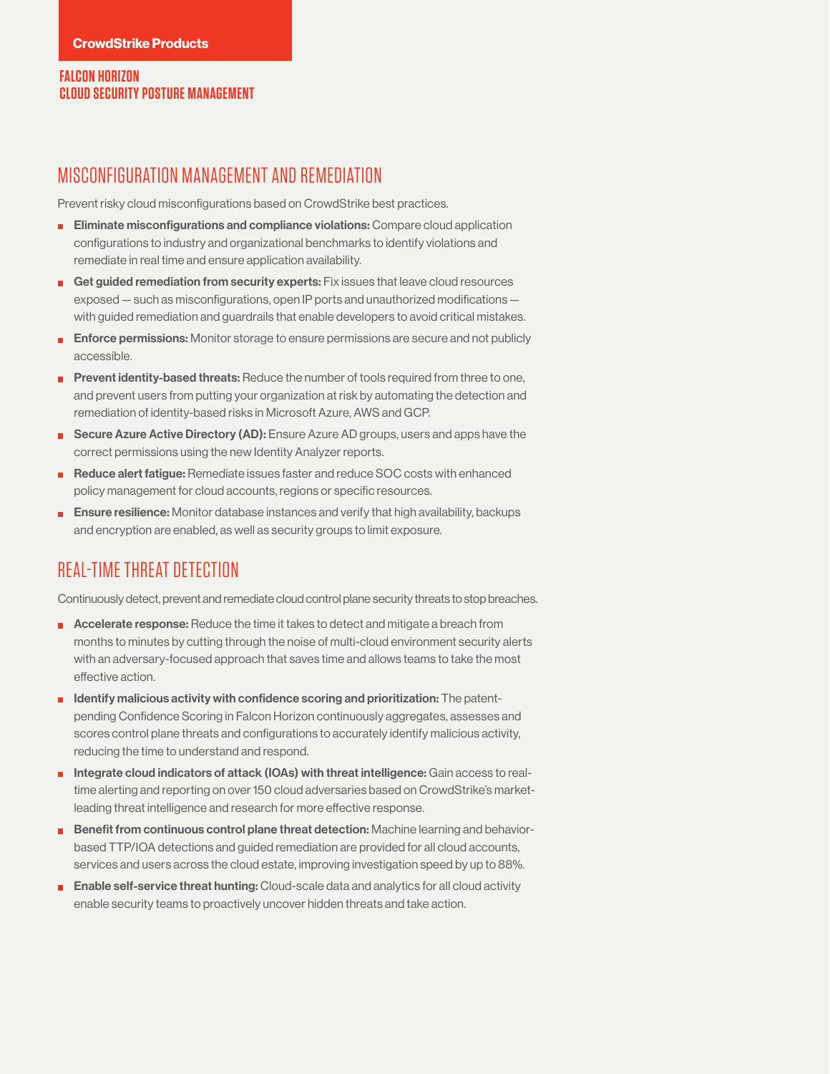#### **FALCON HORIZON CLOUD SECURITY POSTURE MANAGEMENT**

#### MISCONFIGURATION MANAGEMENT AND REMEDIATION

Prevent risky cloud misconfigurations based on CrowdStrike best practices.

- **Eliminate misconfigurations and compliance violations:** Compare cloud application configurations to industry and organizational benchmarks to identify violations and remediate in real time and ensure application availability.
- Get guided remediation from security experts:  $Fix$  issues that leave cloud resources exposed — such as misconfigurations, open IP ports and unauthorized modifications with guided remediation and guardrails that enable developers to avoid critical mistakes.
- **Enforce permissions:** Monitor storage to ensure permissions are secure and not publicly accessible.
- **Prevent identity-based threats:** Reduce the number of tools required from three to one, and prevent users from putting your organization at risk by automating the detection and remediation of identity-based risks in Microsoft Azure, AWS and GCP.
- Secure Azure Active Directory (AD): Ensure Azure AD groups, users and apps have the correct permissions using the new Identity Analyzer reports.
- Reduce alert fatigue: Remediate issues faster and reduce SOC costs with enhanced policy management for cloud accounts, regions or specific resources.
- **E** Ensure resilience: Monitor database instances and verify that high availability, backups and encryption are enabled, as well as security groups to limit exposure.

## REAL-TIME THREAT DETECTION

Continuously detect, prevent and remediate cloud control plane security threats to stop breaches.

- **Accelerate response:** Reduce the time it takes to detect and mitigate a breach from months to minutes by cutting through the noise of multi-cloud environment security alerts with an adversary-focused approach that saves time and allows teams to take the most effective action.
- $\blacksquare$  Identify malicious activity with confidence scoring and prioritization: The patentpending Confidence Scoring in Falcon Horizon continuously aggregates, assesses and scores control plane threats and configurations to accurately identify malicious activity, reducing the time to understand and respond.
- Integrate cloud indicators of attack (IOAs) with threat intelligence: Gain access to realtime alerting and reporting on over 150 cloud adversaries based on CrowdStrike's marketleading threat intelligence and research for more effective response.
- Benefit from continuous control plane threat detection: Machine learning and behaviorbased TTP/IOA detections and guided remediation are provided for all cloud accounts, services and users across the cloud estate, improving investigation speed by up to 88%.
- **Enable self-service threat hunting:** Cloud-scale data and analytics for all cloud activity enable security teams to proactively uncover hidden threats and take action.